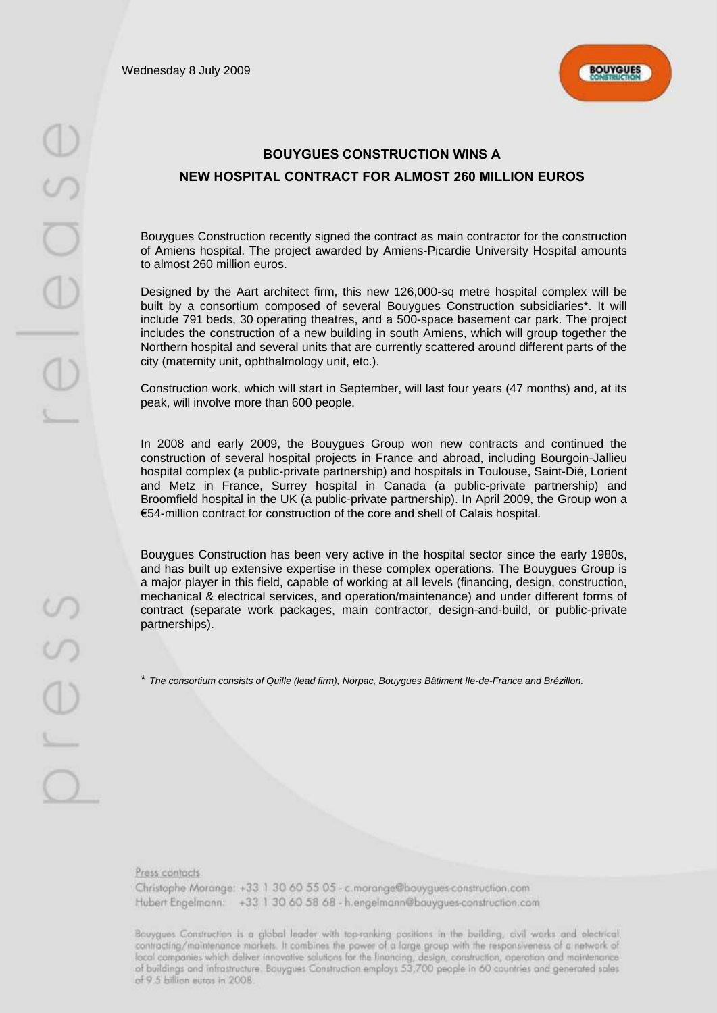Wednesday 8 July 2009



# **BOUYGUES CONSTRUCTION WINS A NEW HOSPITAL CONTRACT FOR ALMOST 260 MILLION EUROS**

Bouygues Construction recently signed the contract as main contractor for the construction of Amiens hospital. The project awarded by Amiens-Picardie University Hospital amounts to almost 260 million euros.

Designed by the Aart architect firm, this new 126,000-sq metre hospital complex will be built by a consortium composed of several Bouygues Construction subsidiaries\*. It will include 791 beds, 30 operating theatres, and a 500-space basement car park. The project includes the construction of a new building in south Amiens, which will group together the Northern hospital and several units that are currently scattered around different parts of the city (maternity unit, ophthalmology unit, etc.).

Construction work, which will start in September, will last four years (47 months) and, at its peak, will involve more than 600 people.

In 2008 and early 2009, the Bouygues Group won new contracts and continued the construction of several hospital projects in France and abroad, including Bourgoin-Jallieu hospital complex (a public-private partnership) and hospitals in Toulouse, Saint-Dié, Lorient and Metz in France, Surrey hospital in Canada (a public-private partnership) and Broomfield hospital in the UK (a public-private partnership). In April 2009, the Group won a €54-million contract for construction of the core and shell of Calais hospital.

Bouygues Construction has been very active in the hospital sector since the early 1980s, and has built up extensive expertise in these complex operations. The Bouygues Group is a major player in this field, capable of working at all levels (financing, design, construction, mechanical & electrical services, and operation/maintenance) and under different forms of contract (separate work packages, main contractor, design-and-build, or public-private partnerships).

\* *The consortium consists of Quille (lead firm), Norpac, Bouygues Bâtiment Ile-de-France and Brézillon.*

J

Press contacts

Christophe Morange: +33 1 30 60 55 05 - c.morange@bouygues-construction.com Hubert Engelmann: +33 1 30 60 58 68 - h.engelmann@bouygues-construction.com

Bouygves Construction is a global leader with top-ranking positions in the building, civil works and electrical contracting/maintenance markets. It combines the power of a large group with the responsiveness of a network of local companies which deliver innovative solutions for the financing, design, construction, operation and maintenance of buildings and infrastructure. Bouygues Construction employs 53,700 people in 60 countries and generated sales of 9.5 billion euros in 2008.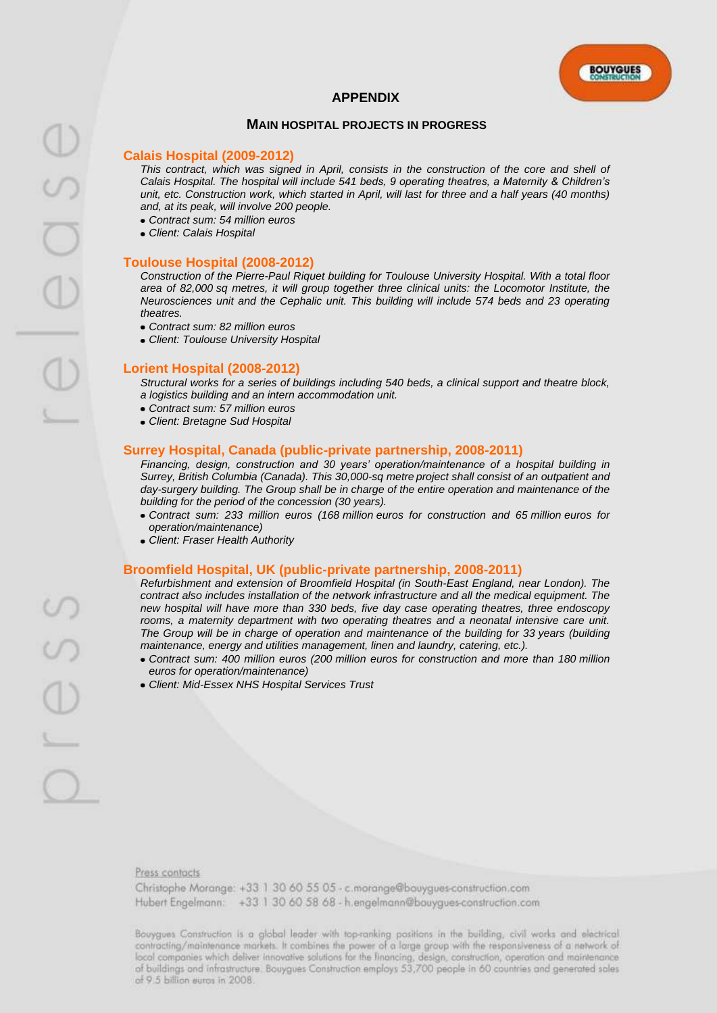# **APPENDIX**

# **MAIN HOSPITAL PROJECTS IN PROGRESS**

# **Calais Hospital (2009-2012)**

*This contract, which was signed in April, consists in the construction of the core and shell of Calais Hospital. The hospital will include 541 beds, 9 operating theatres, a Maternity & Children's unit, etc. Construction work, which started in April, will last for three and a half years (40 months) and, at its peak, will involve 200 people.*

- *Contract sum: 54 million euros*
- *Client: Calais Hospital*

#### **Toulouse Hospital (2008-2012)**

*Construction of the Pierre-Paul Riquet building for Toulouse University Hospital. With a total floor area of 82,000 sq metres, it will group together three clinical units: the Locomotor Institute, the Neurosciences unit and the Cephalic unit. This building will include 574 beds and 23 operating theatres.*

- *Contract sum: 82 million euros*
- *Client: Toulouse University Hospital*

# **Lorient Hospital (2008-2012)**

*Structural works for a series of buildings including 540 beds, a clinical support and theatre block, a logistics building and an intern accommodation unit.*

- *Contract sum: 57 million euros*
- *Client: Bretagne Sud Hospital*

#### **Surrey Hospital, Canada (public-private partnership, 2008-2011)**

*Financing, design, construction and 30 years' operation/maintenance of a hospital building in Surrey, British Columbia (Canada). This 30,000-sq metre project shall consist of an outpatient and day-surgery building. The Group shall be in charge of the entire operation and maintenance of the building for the period of the concession (30 years).*

- *Contract sum: 233 million euros (168 million euros for construction and 65 million euros for operation/maintenance)*
- *Client: Fraser Health Authority*

#### **Broomfield Hospital, UK (public-private partnership, 2008-2011)**

*Refurbishment and extension of Broomfield Hospital (in South-East England, near London). The contract also includes installation of the network infrastructure and all the medical equipment. The new hospital will have more than 330 beds, five day case operating theatres, three endoscopy*  rooms, a maternity department with two operating theatres and a neonatal intensive care unit. *The Group will be in charge of operation and maintenance of the building for 33 years (building maintenance, energy and utilities management, linen and laundry, catering, etc.).*

- *Contract sum: 400 million euros (200 million euros for construction and more than 180 million euros for operation/maintenance)*
- *Client: Mid-Essex NHS Hospital Services Trust*

Christophe Morange: +33 1 30 60 55 05 - c.morange@bouygues-construction.com Hubert Engelmann: +33 1 30 60 58 68 - h.engelmann@bouygues-construction.com

Bouygves Construction is a global leader with top-ranking positions in the building, civil works and electrical contracting/maintenance markets. It combines the power of a large group with the responsiveness of a network of local companies which deliver innovative solutions for the financing, design, construction, operation and maintenance of buildings and infrastructure. Bouygues Construction employs 53,700 people in 60 countries and generated soles of 9.5 billion euros in 2008.